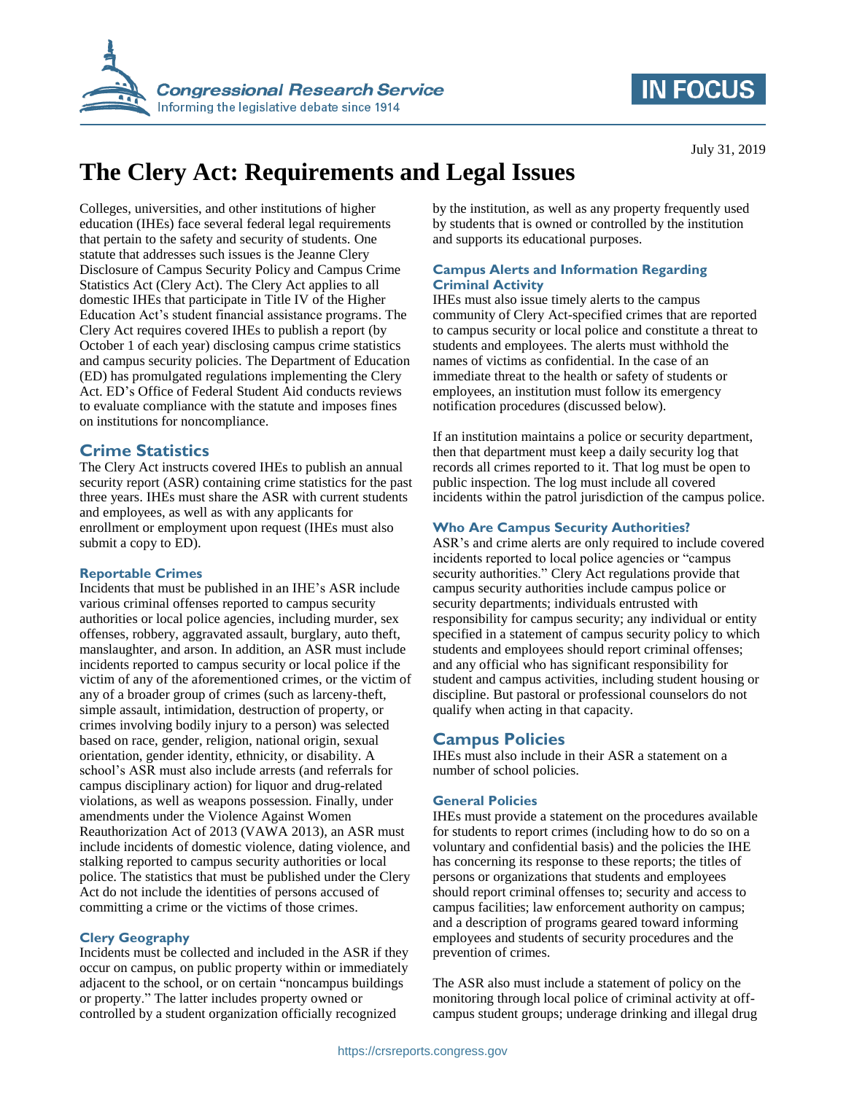

## **IN FOCUS**

# **The Clery Act: Requirements and Legal Issues**

Colleges, universities, and other institutions of higher education (IHEs) face several federal legal requirements that pertain to the safety and security of students. One statute that addresses such issues is the Jeanne Clery Disclosure of Campus Security Policy and Campus Crime Statistics Act (Clery Act). The Clery Act applies to all domestic IHEs that participate in Title IV of the Higher Education Act's student financial assistance programs. The Clery Act requires covered IHEs to publish a report (by October 1 of each year) disclosing campus crime statistics and campus security policies. The Department of Education (ED) has promulgated regulations implementing the Clery Act. ED's Office of Federal Student Aid conducts reviews to evaluate compliance with the statute and imposes fines on institutions for noncompliance.

## **Crime Statistics**

The Clery Act instructs covered IHEs to publish an annual security report (ASR) containing crime statistics for the past three years. IHEs must share the ASR with current students and employees, as well as with any applicants for enrollment or employment upon request (IHEs must also submit a copy to ED).

#### **Reportable Crimes**

Incidents that must be published in an IHE's ASR include various criminal offenses reported to campus security authorities or local police agencies, including murder, sex offenses, robbery, aggravated assault, burglary, auto theft, manslaughter, and arson. In addition, an ASR must include incidents reported to campus security or local police if the victim of any of the aforementioned crimes, or the victim of any of a broader group of crimes (such as larceny-theft, simple assault, intimidation, destruction of property, or crimes involving bodily injury to a person) was selected based on race, gender, religion, national origin, sexual orientation, gender identity, ethnicity, or disability. A school's ASR must also include arrests (and referrals for campus disciplinary action) for liquor and drug-related violations, as well as weapons possession. Finally, under amendments under the Violence Against Women Reauthorization Act of 2013 (VAWA 2013), an ASR must include incidents of domestic violence, dating violence, and stalking reported to campus security authorities or local police. The statistics that must be published under the Clery Act do not include the identities of persons accused of committing a crime or the victims of those crimes.

#### **Clery Geography**

Incidents must be collected and included in the ASR if they occur on campus, on public property within or immediately adjacent to the school, or on certain "noncampus buildings or property." The latter includes property owned or controlled by a student organization officially recognized

by the institution, as well as any property frequently used by students that is owned or controlled by the institution and supports its educational purposes.

### **Campus Alerts and Information Regarding Criminal Activity**

IHEs must also issue timely alerts to the campus community of Clery Act-specified crimes that are reported to campus security or local police and constitute a threat to students and employees. The alerts must withhold the names of victims as confidential. In the case of an immediate threat to the health or safety of students or employees, an institution must follow its emergency notification procedures (discussed below).

If an institution maintains a police or security department, then that department must keep a daily security log that records all crimes reported to it. That log must be open to public inspection. The log must include all covered incidents within the patrol jurisdiction of the campus police.

## **Who Are Campus Security Authorities?**

ASR's and crime alerts are only required to include covered incidents reported to local police agencies or "campus security authorities." Clery Act regulations provide that campus security authorities include campus police or security departments; individuals entrusted with responsibility for campus security; any individual or entity specified in a statement of campus security policy to which students and employees should report criminal offenses; and any official who has significant responsibility for student and campus activities, including student housing or discipline. But pastoral or professional counselors do not qualify when acting in that capacity.

## **Campus Policies**

IHEs must also include in their ASR a statement on a number of school policies.

## **General Policies**

IHEs must provide a statement on the procedures available for students to report crimes (including how to do so on a voluntary and confidential basis) and the policies the IHE has concerning its response to these reports; the titles of persons or organizations that students and employees should report criminal offenses to; security and access to campus facilities; law enforcement authority on campus; and a description of programs geared toward informing employees and students of security procedures and the prevention of crimes.

The ASR also must include a statement of policy on the monitoring through local police of criminal activity at offcampus student groups; underage drinking and illegal drug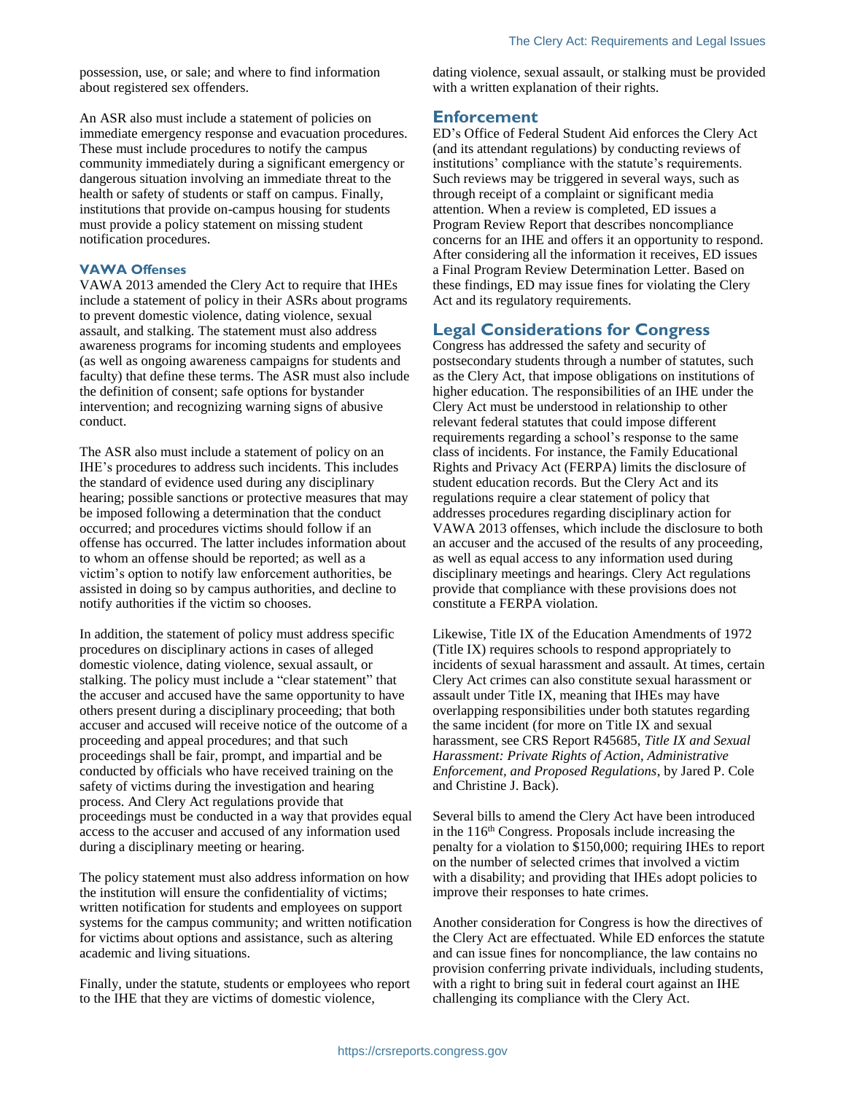possession, use, or sale; and where to find information about registered sex offenders.

An ASR also must include a statement of policies on immediate emergency response and evacuation procedures. These must include procedures to notify the campus community immediately during a significant emergency or dangerous situation involving an immediate threat to the health or safety of students or staff on campus. Finally, institutions that provide on-campus housing for students must provide a policy statement on missing student notification procedures.

#### **VAWA Offenses**

VAWA 2013 amended the Clery Act to require that IHEs include a statement of policy in their ASRs about programs to prevent domestic violence, dating violence, sexual assault, and stalking. The statement must also address awareness programs for incoming students and employees (as well as ongoing awareness campaigns for students and faculty) that define these terms. The ASR must also include the definition of consent; safe options for bystander intervention; and recognizing warning signs of abusive conduct.

The ASR also must include a statement of policy on an IHE's procedures to address such incidents. This includes the standard of evidence used during any disciplinary hearing; possible sanctions or protective measures that may be imposed following a determination that the conduct occurred; and procedures victims should follow if an offense has occurred. The latter includes information about to whom an offense should be reported; as well as a victim's option to notify law enforcement authorities, be assisted in doing so by campus authorities, and decline to notify authorities if the victim so chooses.

In addition, the statement of policy must address specific procedures on disciplinary actions in cases of alleged domestic violence, dating violence, sexual assault, or stalking. The policy must include a "clear statement" that the accuser and accused have the same opportunity to have others present during a disciplinary proceeding; that both accuser and accused will receive notice of the outcome of a proceeding and appeal procedures; and that such proceedings shall be fair, prompt, and impartial and be conducted by officials who have received training on the safety of victims during the investigation and hearing process. And Clery Act regulations provide that proceedings must be conducted in a way that provides equal access to the accuser and accused of any information used during a disciplinary meeting or hearing.

The policy statement must also address information on how the institution will ensure the confidentiality of victims; written notification for students and employees on support systems for the campus community; and written notification for victims about options and assistance, such as altering academic and living situations.

Finally, under the statute, students or employees who report to the IHE that they are victims of domestic violence,

dating violence, sexual assault, or stalking must be provided with a written explanation of their rights.

### **Enforcement**

ED's Office of Federal Student Aid enforces the Clery Act (and its attendant regulations) by conducting reviews of institutions' compliance with the statute's requirements. Such reviews may be triggered in several ways, such as through receipt of a complaint or significant media attention. When a review is completed, ED issues a Program Review Report that describes noncompliance concerns for an IHE and offers it an opportunity to respond. After considering all the information it receives, ED issues a Final Program Review Determination Letter. Based on these findings, ED may issue fines for violating the Clery Act and its regulatory requirements.

## **Legal Considerations for Congress**

Congress has addressed the safety and security of postsecondary students through a number of statutes, such as the Clery Act, that impose obligations on institutions of higher education. The responsibilities of an IHE under the Clery Act must be understood in relationship to other relevant federal statutes that could impose different requirements regarding a school's response to the same class of incidents. For instance, the Family Educational Rights and Privacy Act (FERPA) limits the disclosure of student education records. But the Clery Act and its regulations require a clear statement of policy that addresses procedures regarding disciplinary action for VAWA 2013 offenses, which include the disclosure to both an accuser and the accused of the results of any proceeding, as well as equal access to any information used during disciplinary meetings and hearings. Clery Act regulations provide that compliance with these provisions does not constitute a FERPA violation.

Likewise, Title IX of the Education Amendments of 1972 (Title IX) requires schools to respond appropriately to incidents of sexual harassment and assault. At times, certain Clery Act crimes can also constitute sexual harassment or assault under Title IX, meaning that IHEs may have overlapping responsibilities under both statutes regarding the same incident (for more on Title IX and sexual harassment, see CRS Report R45685, *Title IX and Sexual Harassment: Private Rights of Action, Administrative Enforcement, and Proposed Regulations*, by Jared P. Cole and Christine J. Back).

Several bills to amend the Clery Act have been introduced in the 116<sup>th</sup> Congress. Proposals include increasing the penalty for a violation to \$150,000; requiring IHEs to report on the number of selected crimes that involved a victim with a disability; and providing that IHEs adopt policies to improve their responses to hate crimes.

Another consideration for Congress is how the directives of the Clery Act are effectuated. While ED enforces the statute and can issue fines for noncompliance, the law contains no provision conferring private individuals, including students, with a right to bring suit in federal court against an IHE challenging its compliance with the Clery Act.